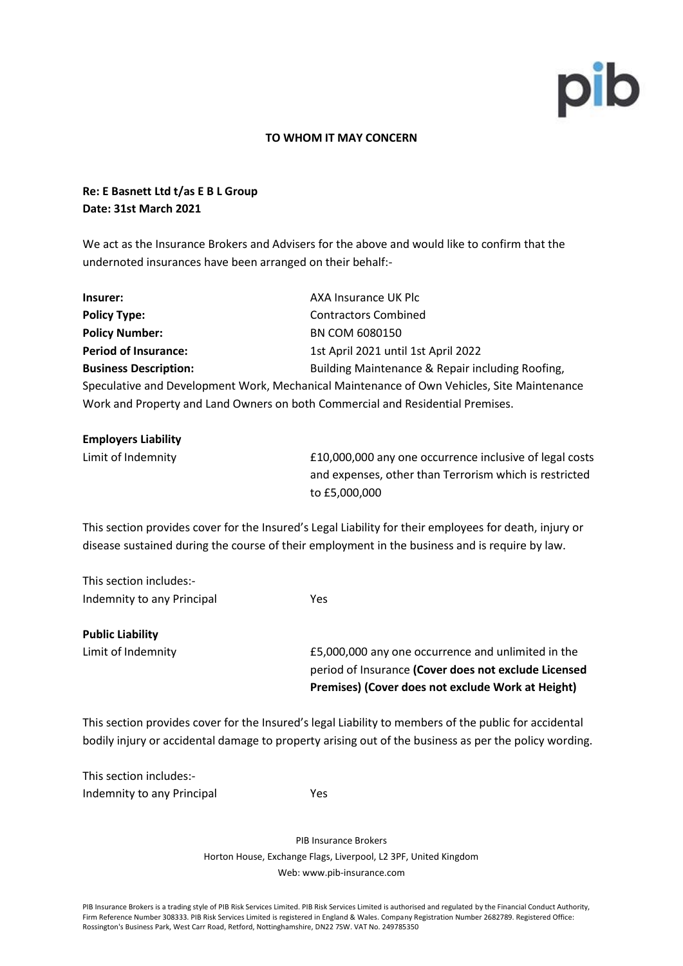

#### **TO WHOM IT MAY CONCERN**

## **Re: E Basnett Ltd t/as E B L Group Date: 31st March 2021**

We act as the Insurance Brokers and Advisers for the above and would like to confirm that the undernoted insurances have been arranged on their behalf:-

| Insurer:                                                                                   | AXA Insurance UK Plc                             |  |
|--------------------------------------------------------------------------------------------|--------------------------------------------------|--|
| <b>Policy Type:</b>                                                                        | <b>Contractors Combined</b>                      |  |
| <b>Policy Number:</b>                                                                      | BN COM 6080150                                   |  |
| <b>Period of Insurance:</b>                                                                | 1st April 2021 until 1st April 2022              |  |
| <b>Business Description:</b>                                                               | Building Maintenance & Repair including Roofing, |  |
| Speculative and Development Work, Mechanical Maintenance of Own Vehicles, Site Maintenance |                                                  |  |
| Work and Property and Land Owners on both Commercial and Residential Premises.             |                                                  |  |

| <b>Employers Liability</b> |                                                         |
|----------------------------|---------------------------------------------------------|
| Limit of Indemnity         | £10,000,000 any one occurrence inclusive of legal costs |
|                            | and expenses, other than Terrorism which is restricted  |
|                            | to £5.000.000                                           |

This section provides cover for the Insured's Legal Liability for their employees for death, injury or disease sustained during the course of their employment in the business and is require by law.

This section includes:- Indemnity to any Principal Yes

**Public Liability** Limit of Indemnity £5,000,000 any one occurrence and unlimited in the period of Insurance **(Cover does not exclude Licensed Premises) (Cover does not exclude Work at Height)**

This section provides cover for the Insured's legal Liability to members of the public for accidental bodily injury or accidental damage to property arising out of the business as per the policy wording.

This section includes:- Indemnity to any Principal Theorem 1995

PIB Insurance Brokers Horton House, Exchange Flags, Liverpool, L2 3PF, United Kingdom Web: www.pib-insurance.com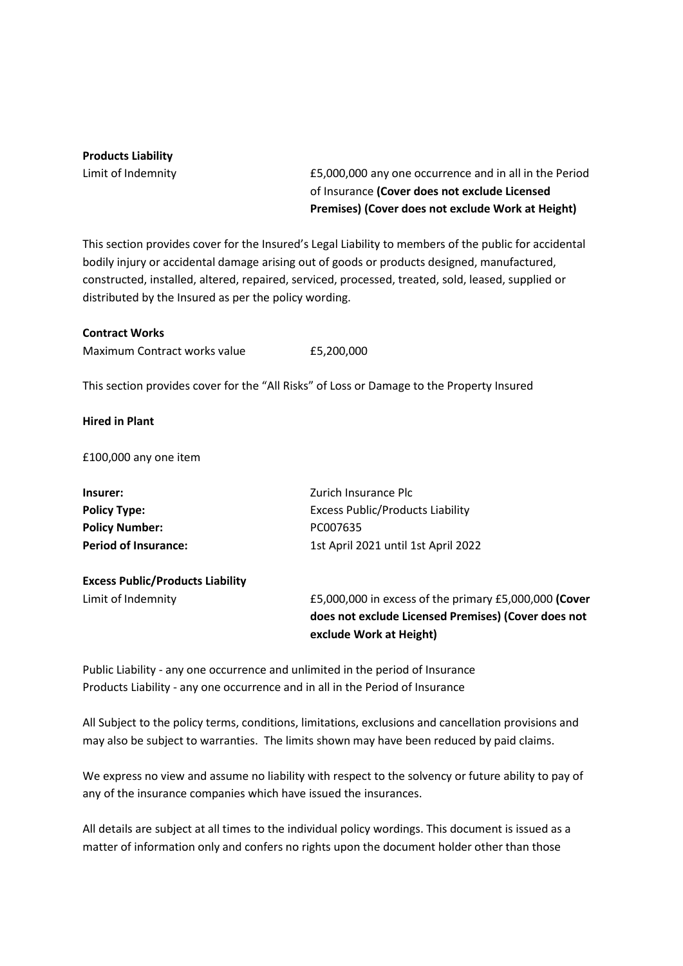### **Products Liability**

Limit of Indemnity £5,000,000 any one occurrence and in all in the Period of Insurance **(Cover does not exclude Licensed Premises) (Cover does not exclude Work at Height)**

This section provides cover for the Insured's Legal Liability to members of the public for accidental bodily injury or accidental damage arising out of goods or products designed, manufactured, constructed, installed, altered, repaired, serviced, processed, treated, sold, leased, supplied or distributed by the Insured as per the policy wording.

#### **Contract Works**

Maximum Contract works value E5,200,000

This section provides cover for the "All Risks" of Loss or Damage to the Property Insured

#### **Hired in Plant**

£100,000 any one item

| Insurer:                         | Zurich Insurance Plc                    |
|----------------------------------|-----------------------------------------|
| <b>Policy Type:</b>              | <b>Excess Public/Products Liability</b> |
| <b>Policy Number:</b>            | PC007635                                |
| Period of Insurance:             | 1st April 2021 until 1st April 2022     |
| Evence Dublie/Droducte Liability |                                         |

# **Excess Public/Products Liability**

Limit of Indemnity £5,000,000 in excess of the primary £5,000,000 **(Cover does not exclude Licensed Premises) (Cover does not exclude Work at Height)**

Public Liability - any one occurrence and unlimited in the period of Insurance Products Liability - any one occurrence and in all in the Period of Insurance

All Subject to the policy terms, conditions, limitations, exclusions and cancellation provisions and may also be subject to warranties. The limits shown may have been reduced by paid claims.

We express no view and assume no liability with respect to the solvency or future ability to pay of any of the insurance companies which have issued the insurances.

All details are subject at all times to the individual policy wordings. This document is issued as a matter of information only and confers no rights upon the document holder other than those